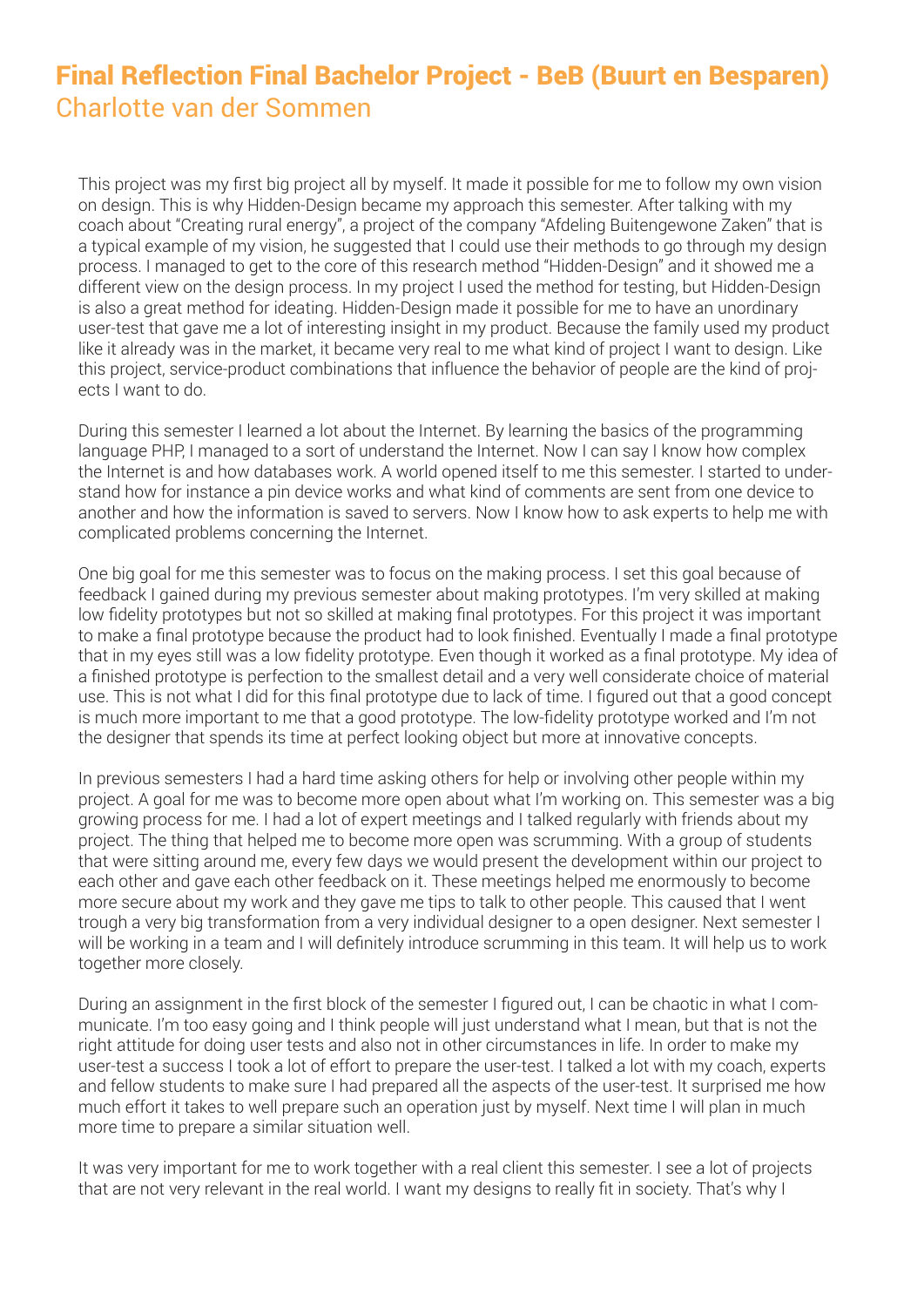## Final Reflection Final Bachelor Project - BeB (Buurt en Besparen) Charlotte van der Sommen

This project was my first big project all by myself. It made it possible for me to follow my own vision on design. This is why Hidden-Design became my approach this semester. After talking with my coach about "Creating rural energy", a project of the company "Afdeling Buitengewone Zaken" that is a typical example of my vision, he suggested that I could use their methods to go through my design process. I managed to get to the core of this research method "Hidden-Design" and it showed me a different view on the design process. In my project I used the method for testing, but Hidden-Design is also a great method for ideating. Hidden-Design made it possible for me to have an unordinary user-test that gave me a lot of interesting insight in my product. Because the family used my product like it already was in the market, it became very real to me what kind of project I want to design. Like this project, service-product combinations that influence the behavior of people are the kind of projects I want to do.

During this semester I learned a lot about the Internet. By learning the basics of the programming language PHP, I managed to a sort of understand the Internet. Now I can say I know how complex the Internet is and how databases work. A world opened itself to me this semester. I started to understand how for instance a pin device works and what kind of comments are sent from one device to another and how the information is saved to servers. Now I know how to ask experts to help me with complicated problems concerning the Internet.

One big goal for me this semester was to focus on the making process. I set this goal because of feedback I gained during my previous semester about making prototypes. I'm very skilled at making low fidelity prototypes but not so skilled at making final prototypes. For this project it was important to make a final prototype because the product had to look finished. Eventually I made a final prototype that in my eyes still was a low fidelity prototype. Even though it worked as a final prototype. My idea of a finished prototype is perfection to the smallest detail and a very well considerate choice of material use. This is not what I did for this final prototype due to lack of time. I figured out that a good concept is much more important to me that a good prototype. The low-fidelity prototype worked and I'm not the designer that spends its time at perfect looking object but more at innovative concepts.

In previous semesters I had a hard time asking others for help or involving other people within my project. A goal for me was to become more open about what I'm working on. This semester was a big growing process for me. I had a lot of expert meetings and I talked regularly with friends about my project. The thing that helped me to become more open was scrumming. With a group of students that were sitting around me, every few days we would present the development within our project to each other and gave each other feedback on it. These meetings helped me enormously to become more secure about my work and they gave me tips to talk to other people. This caused that I went trough a very big transformation from a very individual designer to a open designer. Next semester I will be working in a team and I will definitely introduce scrumming in this team. It will help us to work together more closely.

During an assignment in the first block of the semester I figured out, I can be chaotic in what I communicate. I'm too easy going and I think people will just understand what I mean, but that is not the right attitude for doing user tests and also not in other circumstances in life. In order to make my user-test a success I took a lot of effort to prepare the user-test. I talked a lot with my coach, experts and fellow students to make sure I had prepared all the aspects of the user-test. It surprised me how much effort it takes to well prepare such an operation just by myself. Next time I will plan in much more time to prepare a similar situation well.

It was very important for me to work together with a real client this semester. I see a lot of projects that are not very relevant in the real world. I want my designs to really fit in society. That's why I